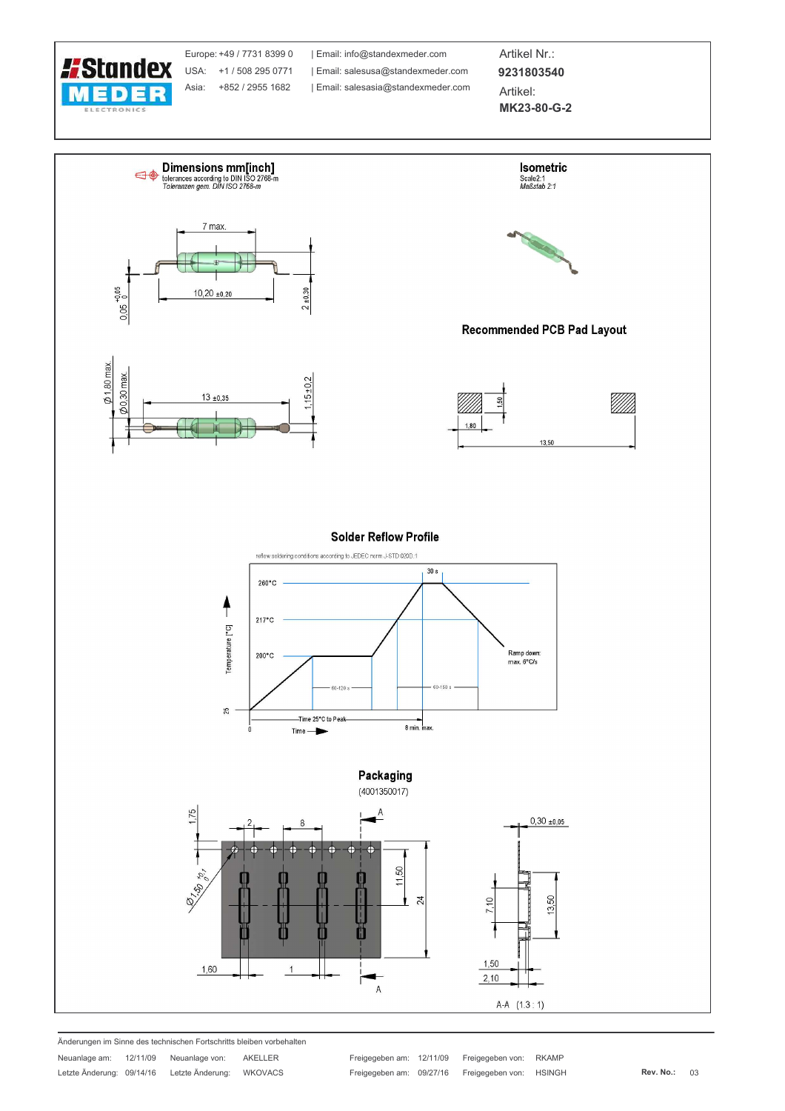

Europe: +49 / 7731 8399 0 USA: +1 / 508 295 0771 Asia: +852 / 2955 1682

| Email: info@standexmeder.com Email: salesusa@standexmeder.com | Email: salesasia@standexmeder.com

Artikel Nr.: 9231803540 Artikel: MK23-80-G-2



Änderungen im Sinne des technischen Fortschritts bleiben vorbehalten

Freigegeben am: 12/11/09 Freigegeben von: **RKAMP** Freigegeben am: 09/27/16 Freigegeben von: